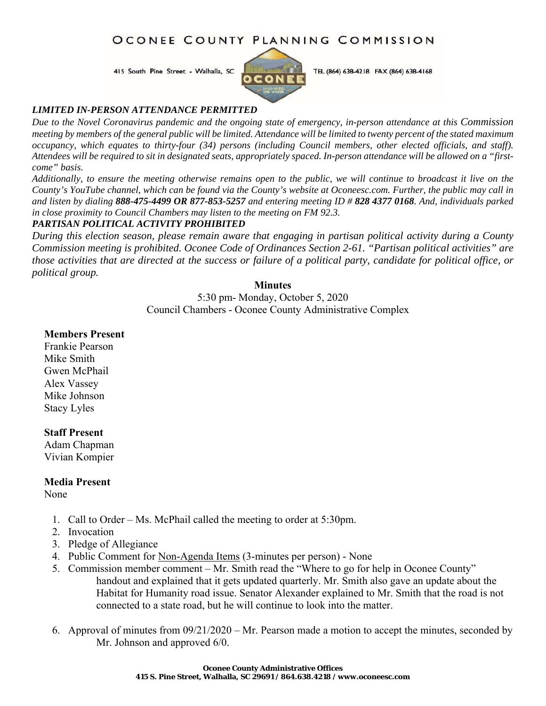# OCONEE COUNTY PLANNING COMMISSION

415 South Pine Street - Walhalla, SC



TEL (864) 638-4218 FAX (864) 638-4168

#### *LIMITED IN-PERSON ATTENDANCE PERMITTED*

*Due to the Novel Coronavirus pandemic and the ongoing state of emergency, in-person attendance at this Commission meeting by members of the general public will be limited. Attendance will be limited to twenty percent of the stated maximum occupancy, which equates to thirty-four (34) persons (including Council members, other elected officials, and staff). Attendees will be required to sit in designated seats, appropriately spaced. In-person attendance will be allowed on a "firstcome" basis.* 

*Additionally, to ensure the meeting otherwise remains open to the public, we will continue to broadcast it live on the County's YouTube channel, which can be found via the County's website at Oconeesc.com. Further, the public may call in and listen by dialing 888-475-4499 OR 877-853-5257 and entering meeting ID # 828 4377 0168. And, individuals parked in close proximity to Council Chambers may listen to the meeting on FM 92.3.* 

## *PARTISAN POLITICAL ACTIVITY PROHIBITED*

*During this election season, please remain aware that engaging in partisan political activity during a County Commission meeting is prohibited. Oconee Code of Ordinances Section 2-61. "Partisan political activities" are those activities that are directed at the success or failure of a political party, candidate for political office, or political group.*

### **Minutes**

5:30 pm- Monday, October 5, 2020 Council Chambers - Oconee County Administrative Complex

### **Members Present**

Frankie Pearson Mike Smith Gwen McPhail Alex Vassey Mike Johnson Stacy Lyles

## **Staff Present**

Adam Chapman Vivian Kompier

## **Media Present**

None

- 1. Call to Order Ms. McPhail called the meeting to order at 5:30pm.
- 2. Invocation
- 3. Pledge of Allegiance
- 4. Public Comment for Non-Agenda Items (3-minutes per person) None
- 5. Commission member comment Mr. Smith read the "Where to go for help in Oconee County" handout and explained that it gets updated quarterly. Mr. Smith also gave an update about the Habitat for Humanity road issue. Senator Alexander explained to Mr. Smith that the road is not connected to a state road, but he will continue to look into the matter.
- 6. Approval of minutes from 09/21/2020 Mr. Pearson made a motion to accept the minutes, seconded by Mr. Johnson and approved 6/0.